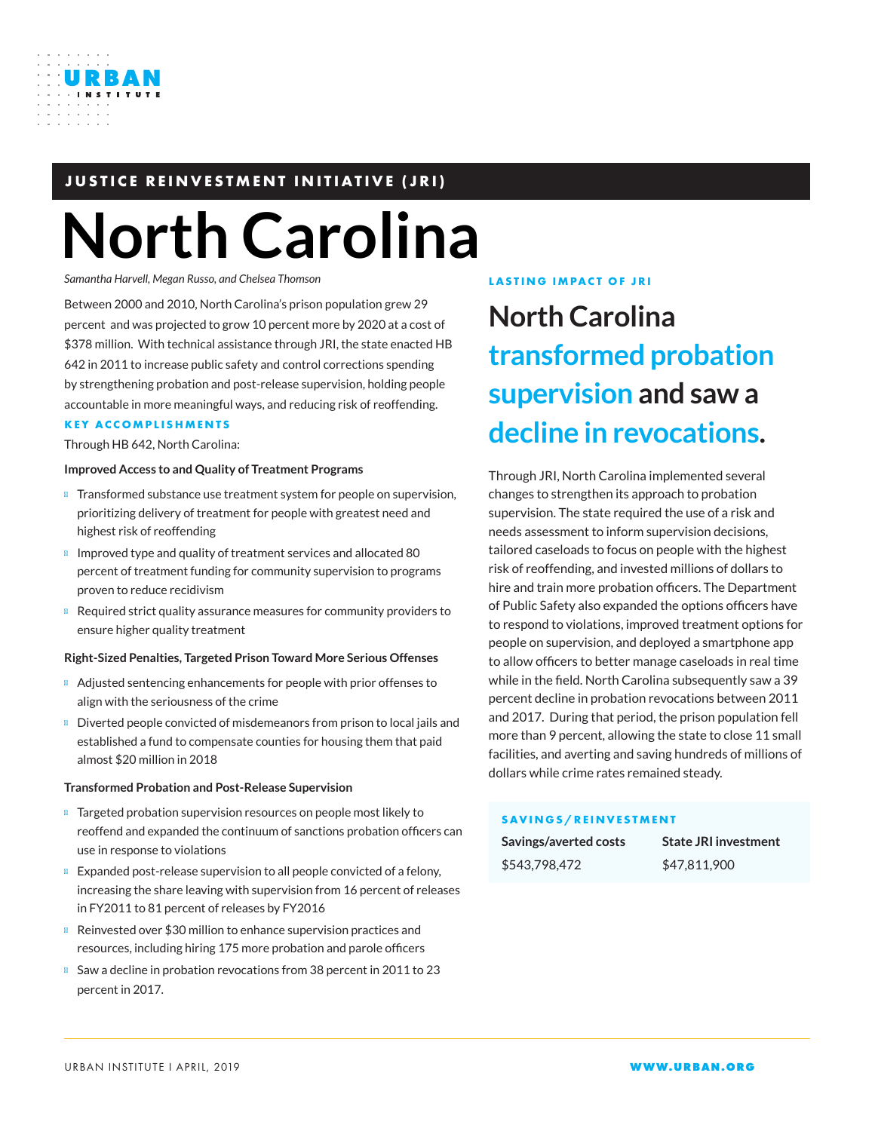# **JUSTICE REINVESTMENT INITIATIVE (JRI)**

# **North Carolina**

*Samantha Harvell, Megan Russo, and Chelsea Thomson*

Between 2000 and 2010, North Carolina's prison population grew 29 percent and was projected to grow 10 percent more by 2020 at a cost of \$378 million. With technical assistance through JRI, the state enacted HB 642 in 2011 to increase public safety and control corrections spending by strengthening probation and post-release supervision, holding people accountable in more meaningful ways, and reducing risk of reoffending.

### **KEY ACCOMPLISHMENTS**

Through HB 642, North Carolina:

### **Improved Access to and Quality of Treatment Programs**

Transformed substance use treatment system for people on supervision, prioritizing delivery of treatment for people with greatest need and highest risk of reoffending

Improved type and quality of treatment services and allocated 80 percent of treatment funding for community supervision to programs proven to reduce recidivism

Required strict quality assurance measures for community providers to ensure higher quality treatment

### **Right-Sized Penalties, Targeted Prison Toward More Serious Offenses**

Adjusted sentencing enhancements for people with prior offenses to align with the seriousness of the crime

Diverted people convicted of misdemeanors from prison to local jails and established a fund to compensate counties for housing them that paid almost \$20 million in 2018

### **Transformed Probation and Post-Release Supervision**

Targeted probation supervision resources on people most likely to reoffend and expanded the continuum of sanctions probation officers can use in response to violations

Expanded post-release supervision to all people convicted of a felony, increasing the share leaving with supervision from 16 percent of releases in FY2011 to 81 percent of releases by FY2016

Reinvested over \$30 million to enhance supervision practices and resources, including hiring 175 more probation and parole officers Saw a decline in probation revocations from 38 percent in 2011 to 23 percent in 2017.

### **LASTING IMPACT OF JRI**

# **North Carolina transformed probation supervision and saw a decline in revocations.**

Through JRI, North Carolina implemented several changes to strengthen its approach to probation supervision. The state required the use of a risk and needs assessment to inform supervision decisions, tailored caseloads to focus on people with the highest risk of reoffending, and invested millions of dollars to hire and train more probation officers. The Department of Public Safety also expanded the options officers have to respond to violations, improved treatment options for people on supervision, and deployed a smartphone app to allow officers to better manage caseloads in real time while in the field. North Carolina subsequently saw a 39 percent decline in probation revocations between 2011 and 2017. During that period, the prison population fell more than 9 percent, allowing the state to close 11 small facilities, and averting and saving hundreds of millions of dollars while crime rates remained steady.

### **SAVINGS/REINVESTMENT**

| Savings/averted costs | <b>State JRI investment</b> |
|-----------------------|-----------------------------|
| \$543,798,472         | \$47.811.900                |